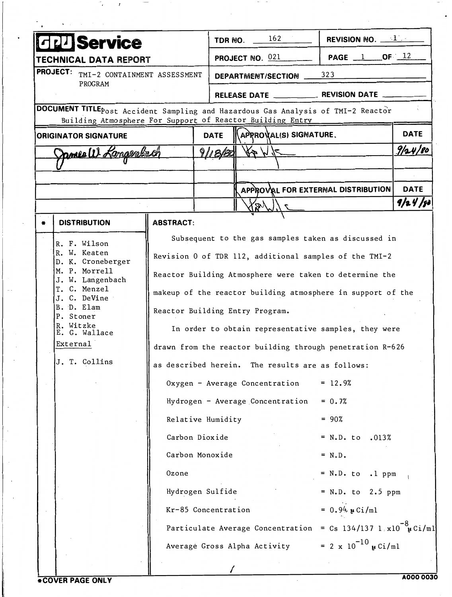| UService                                                                                                                                                                                                                                                                                                                                                                                                                                                                                                                                                                                                                                                                                                                                                    |                                                                                          |                                         | TDR NO.                                              | 162                                                                                                                                         | REVISION NO. $1$                                 |             |
|-------------------------------------------------------------------------------------------------------------------------------------------------------------------------------------------------------------------------------------------------------------------------------------------------------------------------------------------------------------------------------------------------------------------------------------------------------------------------------------------------------------------------------------------------------------------------------------------------------------------------------------------------------------------------------------------------------------------------------------------------------------|------------------------------------------------------------------------------------------|-----------------------------------------|------------------------------------------------------|---------------------------------------------------------------------------------------------------------------------------------------------|--------------------------------------------------|-------------|
| TECHNICAL DATA REPORT                                                                                                                                                                                                                                                                                                                                                                                                                                                                                                                                                                                                                                                                                                                                       |                                                                                          |                                         |                                                      | PAGE $1$ OF $12$<br>PROJECT NO. 021                                                                                                         |                                                  |             |
| <b>PROJECT:</b><br>TMI-2 CONTAINMENT ASSESSMENT<br><b>PROGRAM</b>                                                                                                                                                                                                                                                                                                                                                                                                                                                                                                                                                                                                                                                                                           |                                                                                          |                                         | 323<br>DEPARTMENT/SECTION __                         |                                                                                                                                             |                                                  |             |
|                                                                                                                                                                                                                                                                                                                                                                                                                                                                                                                                                                                                                                                                                                                                                             | DOCUMENT TITLE post Accident Sampling and Hazardous Gas Analysis of TMI-2 Reactor        |                                         |                                                      |                                                                                                                                             |                                                  |             |
|                                                                                                                                                                                                                                                                                                                                                                                                                                                                                                                                                                                                                                                                                                                                                             | Building Atmosphere For Support of Reactor Building Entry<br><b>ORIGINATOR SIGNATURE</b> |                                         | <b>DATE</b>                                          | APRROVAL(S) SIGNATURE.                                                                                                                      |                                                  | <b>DATE</b> |
| James W. Kansenbach                                                                                                                                                                                                                                                                                                                                                                                                                                                                                                                                                                                                                                                                                                                                         |                                                                                          |                                         | 91,8/8                                               |                                                                                                                                             |                                                  | 9/24/80     |
|                                                                                                                                                                                                                                                                                                                                                                                                                                                                                                                                                                                                                                                                                                                                                             |                                                                                          |                                         |                                                      |                                                                                                                                             |                                                  |             |
|                                                                                                                                                                                                                                                                                                                                                                                                                                                                                                                                                                                                                                                                                                                                                             |                                                                                          |                                         |                                                      | APPROVAL FOR EXTERNAL DISTRIBUTION                                                                                                          |                                                  | <b>DATE</b> |
|                                                                                                                                                                                                                                                                                                                                                                                                                                                                                                                                                                                                                                                                                                                                                             |                                                                                          |                                         |                                                      |                                                                                                                                             |                                                  | 9/24/80     |
|                                                                                                                                                                                                                                                                                                                                                                                                                                                                                                                                                                                                                                                                                                                                                             | <b>DISTRIBUTION</b>                                                                      | <b>ABSTRACT:</b>                        |                                                      |                                                                                                                                             |                                                  |             |
| Subsequent to the gas samples taken as discussed in<br>R. F. Wilson<br>R. W. Keaten<br>Revision 0 of TDR 112, additional samples of the TMI-2<br>D. K. Croneberger<br>M. P. Morrell<br>Reactor Building Atmosphere were taken to determine the<br>J. W. Langenbach<br>T. C. Menzel<br>makeup of the reactor building atmosphere in support of the<br>J. C. DeVine<br>B. D. Elam<br>Reactor Building Entry Program.<br>P. Stoner<br>R. Witzke<br>E. G. Wallace<br>External<br>drawn from the reactor building through penetration R-626<br>J. T. Collins<br>as described herein. The results are as follows:<br>Oxygen - Average Concentration<br>Hydrogen - Average Concentration<br>Relative Humidity<br>Carbon Dioxide<br>Carbon Monoxide<br><b>Ozone</b> |                                                                                          |                                         | In order to obtain representative samples, they were | $= 12.9%$<br>$= 0.7%$<br>$= 90%$<br>$= N.D. to .013%$<br>$= N.D.$<br>$= N.D. to 1 ppm$                                                      |                                                  |             |
|                                                                                                                                                                                                                                                                                                                                                                                                                                                                                                                                                                                                                                                                                                                                                             |                                                                                          | Hydrogen Sulfide<br>Kr-85 Concentration |                                                      |                                                                                                                                             | $= N.D. to 2.5 ppm$<br>= $0.94 \mu \text{Ci/m1}$ |             |
|                                                                                                                                                                                                                                                                                                                                                                                                                                                                                                                                                                                                                                                                                                                                                             |                                                                                          |                                         |                                                      | Particulate Average Concentration = Cs 134/137 1.x10 <sup>-8</sup> $\mu$ Ci/ml<br>Average Gross Alpha Activity = 2 x $10^{-10}$ $\mu$ Ci/ml |                                                  |             |

 $\sim$ 

 $\tilde{\phantom{a}}$ 

 $\mathcal{L}$ 

**Contract Contract**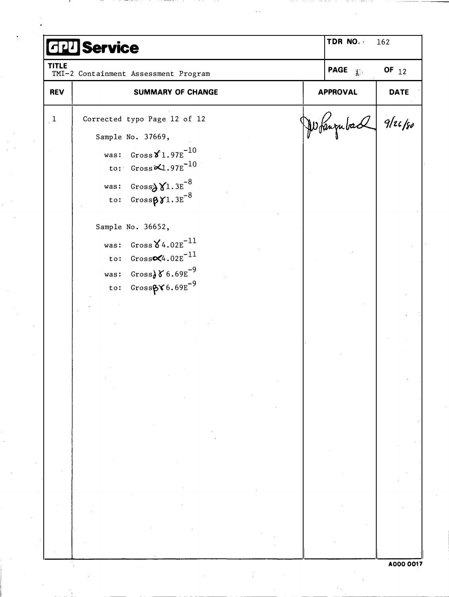| <b>HIT Service</b> |                                                                                        |  | TDR NO.                 |  |
|--------------------|----------------------------------------------------------------------------------------|--|-------------------------|--|
| <b>TITLE</b>       | TMI-2 Containment Assessment Program                                                   |  | PAGE $\mathbf{H}$       |  |
| <b>REV</b>         | <b>SUMMARY OF CHANGE</b>                                                               |  | <b>APPROVAL</b>         |  |
| $\mathbf{1}$       | Corrected typo Page 12 of 12                                                           |  | $ \mu\rangle$ fangubach |  |
|                    | Sample No. 37669,<br>was: $Gross \times 1.97E^{-10}$<br>to: $Gross \times 1.97E^{-10}$ |  |                         |  |
|                    | was: $Gross\ X1.3E^{-8}$<br>to: $Gross\beta\gamma1.3E^{-8}$                            |  |                         |  |
|                    | Sample No. 36652,                                                                      |  |                         |  |
|                    | was: $Gross \, X4.02E^{-11}$<br>to: $Gross \times 4.02E^{-11}$                         |  |                         |  |
|                    | was: $Gross} \delta 6.69E^{-9}$<br>to: $GrossB X 6.69E^{-9}$                           |  |                         |  |
|                    |                                                                                        |  |                         |  |
|                    |                                                                                        |  |                         |  |
|                    |                                                                                        |  |                         |  |
|                    |                                                                                        |  |                         |  |
|                    |                                                                                        |  |                         |  |
|                    |                                                                                        |  |                         |  |
|                    |                                                                                        |  |                         |  |
|                    |                                                                                        |  |                         |  |

and the contract of the contract of the contract of the contract of the contract of the contract of the contract of the contract of the contract of the contract of the contract of the contract of the contract of the contra

 $\mathcal{L}_{\text{max}}$ 

 $\frac{1}{\sqrt{2}}\sum_{i=1}^{n-1}\frac{1}{i} \sum_{j=1}^{n-1} \frac{1}{j} \sum_{j=1}^{n-1} \frac{1}{j} \sum_{j=1}^{n-1} \frac{1}{j} \sum_{j=1}^{n-1} \frac{1}{j} \sum_{j=1}^{n-1} \frac{1}{j} \sum_{j=1}^{n-1} \frac{1}{j} \sum_{j=1}^{n-1} \frac{1}{j} \sum_{j=1}^{n-1} \frac{1}{j} \sum_{j=1}^{n-1} \frac{1}{j} \sum_{j=1}^{n-1} \frac{1}{j} \sum$ 

**Contract Contract**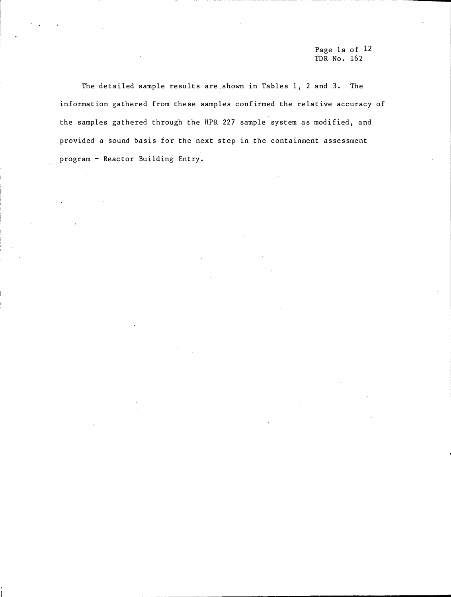Page la of 12 TDR No. 162

The detailed sample results are.shown in Tables 1, 2 and 3. The information gathered from these samples confirmed the relative accuracy of the samples gathered through the HPR 227 sample system as modified, and provided a sound basis for the next step in the containment assessment program - Reactor Building Entry.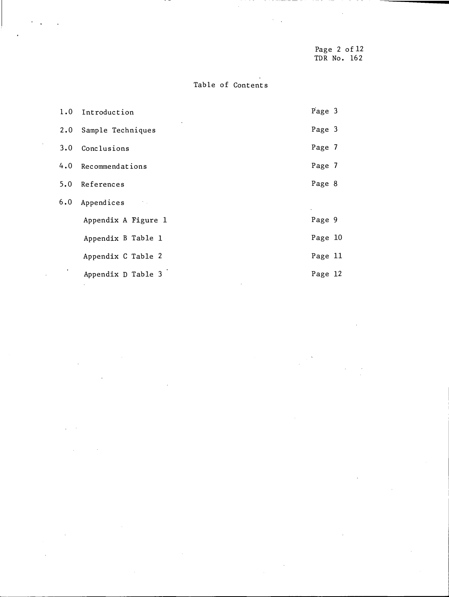Page 2 of 12 TDR No. 162

# Table of Contents

 $\hat{\boldsymbol{\beta}}$ 

 $\bar{z}$ 

 $\mathbb{R}^2$ 

| 1.0 | Introduction        | Page 3  |  |
|-----|---------------------|---------|--|
| 2.0 | Sample Techniques   | Page 3  |  |
| 3.0 | Conclusions         | Page 7  |  |
|     | 4.0 Recommendations | Page 7  |  |
| 5.0 | References          | Page 8  |  |
| 6.0 | Appendices          |         |  |
|     | Appendix A Figure 1 | Page 9  |  |
|     | Appendix B Table 1  | Page 10 |  |
|     | Appendix C Table 2  | Page 11 |  |
|     | Appendix D Table 3  | Page 12 |  |

 $\bar{\mathcal{A}}$ 

 $\ddot{\phantom{a}}$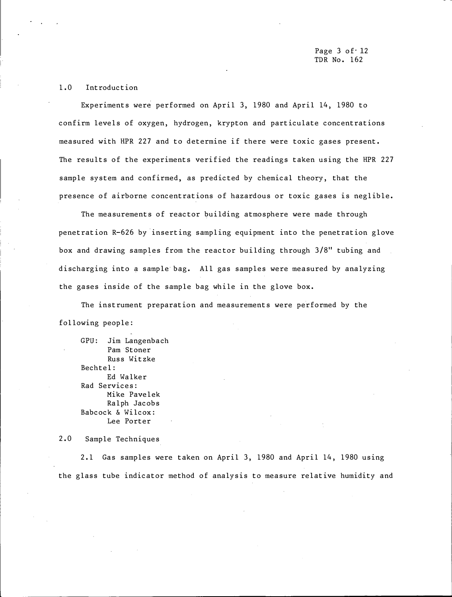#### 1.0 Introduction

Experiments were performed on April 3, 1980 and April 14, 1980 to confirm levels of oxygen, hydrogen, krypton and particulate concentrations measured with HPR 227 and to determine if there were toxic gases present. The results of the experiments verified the readings taken using the HPR 227 sample system and confirmed, as predicted by chemical theory, that the presence of airborne concentrations of hazardous or toxic gases is neglible.

The measurements of reactor building atmosphere were made through penetration R-626 by inserting sampling equipment into the penetration glove box and drawing samples from the reactor building through 3/8" tubing and discharging into a sample bag. All gas samples were measured by analyzing the gases inside of the sample bag while in the glove box.

The instrument preparation and measurements were performed by the following people:

GPU: Jim Langenbach Pam Stoner Russ Witzke Bechtel: Ed Walker Rad Services: Mike Pavelek Ralph Jacobs Babcock & Wilcox: Lee Porter

2.0 Sample Techniques

2.1 Gas samples were taken on April 3, 1980 and April 14, 1980 using the glass tube indicator method of analysis to measure relative humidity and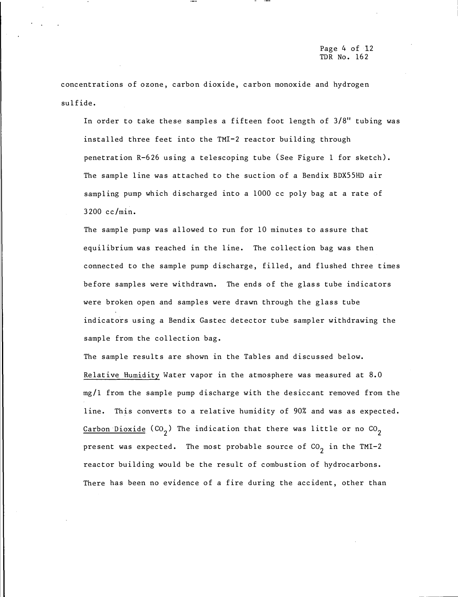concentrations of ozone, carbon dioxide, carbon monoxide and hydrogen sulfide.

In order to take these samples a fifteen foot length of 3/8" tubing was installed three feet into the TMI-2 reactor building through penetration R-626 using a telescoping tube (See Figure 1 for sketch). The sample line was attached to the suction of a Bendix BDX55HD air sampling pump which discharged into a 1000 cc poly bag at a rate of 3200 cc/min.

The sample pump was allowed to run for 10 minutes to assure that equilibrium was reached in the line. The collection bag was then connected to the sample pump discharge, filled, and flushed three times before samples were withdrawn. The ends of the glass tube indicators were broken open and samples were drawn through the glass tube indicators using a Bendix Gastec detector tube sampler withdrawing the sample from the collection bag.

The sample results are shown in the Tables and discussed below. Relative Humidity Water vapor in the atmosphere was measured at 8. 0 mg/1 from the sample pump discharge with the desiccant removed from the line. This converts to a relative humidity of 90% and was as expected. <u>Carbon Dioxide</u> (CO<sub>2</sub>) The indication that there was little or no CO<sub>2</sub> present was expected. The most probable source of  $CO<sub>2</sub>$  in the TMI-2 reactor building would be the result of combustion of hydrocarbons. There has been no evidence of a fire during the accident, other than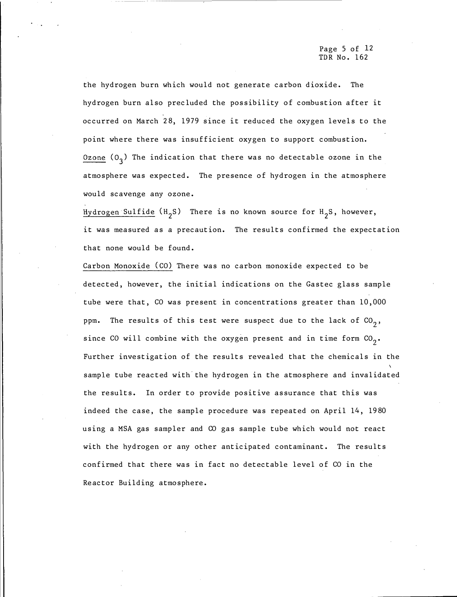Page 5 of 12 TDR No. 162

the hydrogen burn which would not generate carbon dioxide. The hydrogen burn also precluded the possibility of combustion after it occurred on March 28, 1979 since it reduced the oxygen levels to the point where there was insufficient oxygen to support combustion.  $Ozone$  (O<sub>3</sub>) The indication that there was no detectable ozone in the atmosphere was expected. The presence of hydrogen in the atmosphere would scavenge any ozone.

Hydrogen Sulfide (H<sub>2</sub>S) There is no known source for H<sub>2</sub>S, however, it was measured as a precaution. The results confirmed the expectation that none would be found.

Carbon Monoxide (CO) There was no carbon monoxide expected to be detected, however, the initial indications on the Gastec glass sample tube were that, CO was present in concentrations greater than 10, 000 ppm. The results of this test were suspect due to the lack of  $\mathop{\rm {}C0} _2,$ since CO will combine with the oxygen present and in time form  $\mathop{\hbox{\rm CO}}_2$ . Further investigation of the results revealed that the chemicals in the sample tube reacted with the hydrogen in the atmosphere and invalidated the results. In order to provide positive assurance that this was indeed the case, the sample procedure was repeated on April 14, 1980 using a MSA gas sampler and CO gas sample tube which would not react with the hydrogen or any other anticipated contaminant. The results confirmed that there was in fact no detectable level of CO in the Reactor Building atmosphere.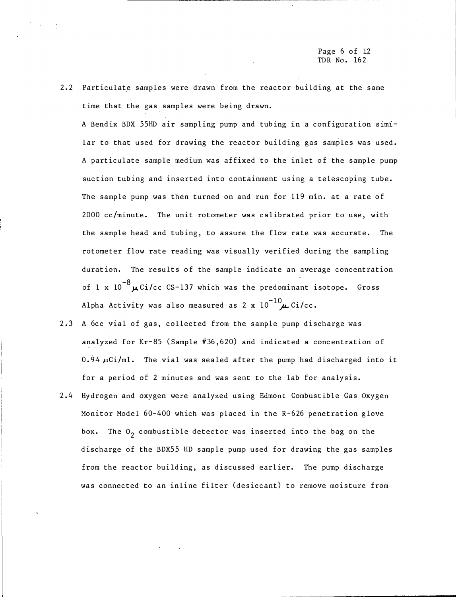Page 6 of·l2 TDR No. 162

2.2 Particulate samples were drawn from the reactor building at the same time that the gas samples were being drawn.

A Bendix BDX 55HD air sampling pump and tubing in a configuration similar to that used for drawing the reactor building gas samples was used. A particulate sample medium was affixed to the inlet of the sample pump suction tubing and inserted into containment using a telescoping tube. The sample pump was then turned on and run for 119 min. at a rate of 2000 cc/minute. The unit rotometer was calibrated prior to use, with the sample head and tubing, to assure the flow rate was accurate. The rotometer flow rate reading was visually verified during the sampling duration. The results of the sample indicate an average concentration of 1 x  $10^{-8}$   $\mu$  Ci/cc CS-137 which was the predominant isotope. Gross Alpha Activity was also measured as 2 x  $10^{-10}$   $\mu$  Ci/cc.

- 2.3 A 6cc vial of gas, collected from the sample pump discharge was analyzed for Kr-85 ( Sample #36, 620) and indicated a concentration of  $0.94 \,\mu\text{Ci/ml}$ . The vial was sealed after the pump had discharged into it for a period of 2 minutes and was sent to the lab for analysis.
- 2. 4 Hydrogen and oxygen were analyzed using Edmont Combustible Gas Oxygen Monitor Model 60-400 which was placed in the R-626 penetration glove box. The  $0^{\,}_2$  combustible detector was inserted into the bag on the discharge of the BDX55 HD sample pump used for drawing the gas samples from the reactor building, as discussed earlier. The pump discharge was connected to an inline filter (desiccant) to remove moisture from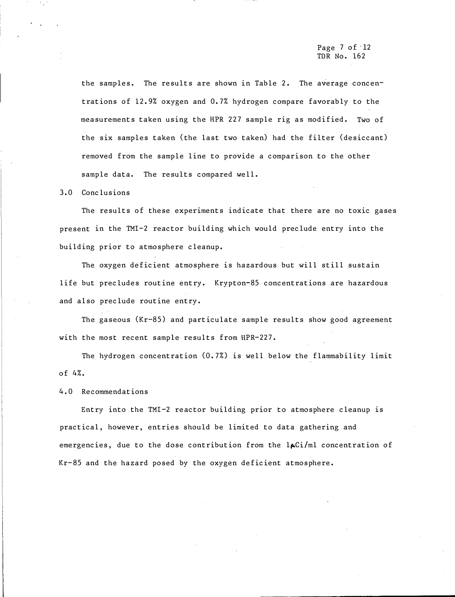the samples. The results are shown in Table 2. The average concentrations of 12.9% oxygen and 0.7% hydrogen compare favorably to the measurements taken using the HPR 227 sample rig as modified. Two of the six samples taken (the last two taken) had the filter (desiccant) removed from the sample line to provide a comparison to the other sample data. The results compared well.

3. 0 Conclusions

The results of these experiments indicate that there are no toxic gases present in the TMI-2 reactor building which would preclude entry into the building prior to atmosphere cleanup.

The oxygen deficient atmosphere is hazardous but will still sustain life but precludes routine entry. Krypton-85 concentrations are hazardous and also preclude routine entry.

The gaseous (Kr-85) and particulate sample results show good agreement with the most recent sample results from HPR-227.

The hydrogen concentration (0. 7%) is well below the flammability limit of 4%.

4. 0 Recommendations

Entry into the TMI-2 reactor building prior to atmosphere cleanup is practical, however, entries should be limited to data gathering and emergencies, due to the dose contribution from the  $l_{\mathbf{A}}(i)/m_l$  concentration of Kr-85 and the hazard posed by the oxygen deficient atmosphere.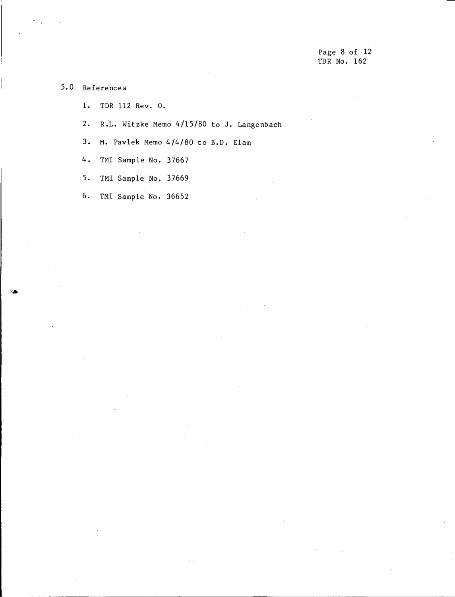5. 0 References

1. TDR 112 Rev. 0.

2. R.L. Witzke Memo 4/15/80 to J. Langenbach

3. M. Pavlek Memo 4/4/80 to B.D. Elam

4. TMI Sample No. 37667

5. TMI Sample No. 37669

6. TMI Sample No. 36652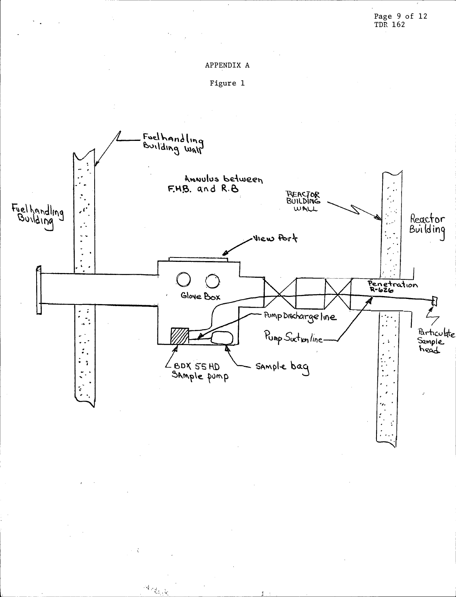# APPENDIX A





 $\mathcal{A}_{\mathcal{L}_{\mathcal{U}_1},\mathcal{V}_2}$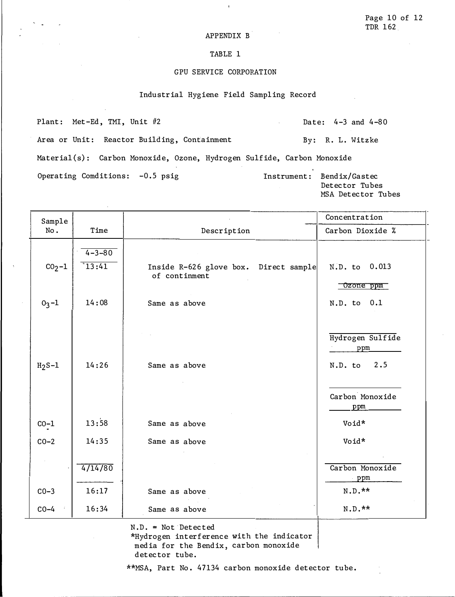#### APPENDIX B

#### TABLE 1

#### GPU SERVICE CORPORATION

#### Industrial Hygiene Field Sampling Record

Plant: Met-Ed, TMI, Unit #2 Date: 4-3 and 4-80 Area or Unit: Reactor Building, Containment By: R. L. Witzke Material(s): Carbon Monoxide, Ozone, Hydrogen Sulfide, Carbon Monoxide Operating Comditions: -0.5 psig 1nstrument: Bendix/Gastec

Detector Tubes MSA Detector Tubes Sample Sample Sample Concentration No. Time | Description | Carbon Dioxide %

| $CO2-1$   | $4 - 3 - 80$<br>13:41 | Inside R-626 glove box. Direct sample<br>of continment | N.D. to 0.013                             |
|-----------|-----------------------|--------------------------------------------------------|-------------------------------------------|
| $0_3 - 1$ | 14:08                 | Same as above                                          | Ozone ppm<br>N.D. to 0.1                  |
| $H2S-1$   | 14:26                 | Same as above                                          | Hydrogen Sulfide<br>ppm<br>2.5<br>N.D. to |
| $CO-1$    | 13:58                 | Same as above                                          | Carbon Monoxide<br>ppm<br>Void*           |
| $CO-2$    | 14:35                 | Same as above                                          | Void*                                     |
|           | 4/14/80               |                                                        | Carbon Monoxide<br>ppm                    |
| $CO-3$    | 16:17                 | Same as above                                          | N.D.**                                    |
| $CO-4$    | 16:34                 | Same as above                                          | N.D.**                                    |

N.D. = Not Detected

\*Hydrogen interference with the indicator media for the Bendix, carbon monoxide detector tube.

\*\*MSA, Part No. 47134 carbon monoxide detector tube.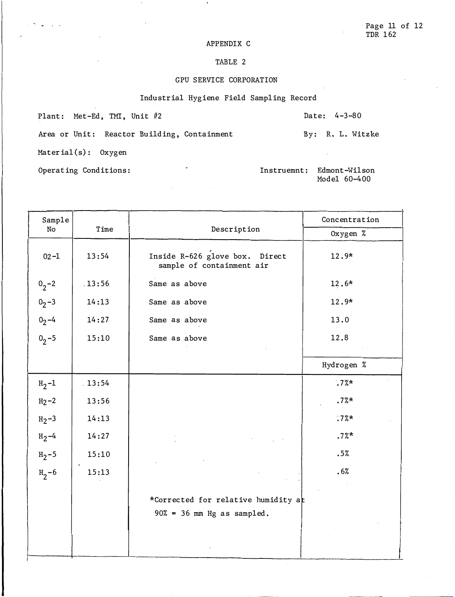#### APPENDIX C

## TABLE 2

### GPU SERVICE CORPORATION

#### Industrial Hygiene Field Sampling Record

 $\mathcal{L}^{\mathcal{L}}$  ,  $\mathcal{L}^{\mathcal{L}}$ 

 $\alpha = 1/\alpha$  .

Plant: Met-Ed, TMI, Unit #2 Date: 4-3-80

Area or Unit: Reactor Building, Containment By: R. L. Witzke

Material(s): Oxygen

 $\sim$   $\sim$   $\sim$   $\sim$ 

Operating Conditions:

Instruemnt: Edmont-Wilson Model 60-400

| Sample      |        |                                                                      | Concentration |  |
|-------------|--------|----------------------------------------------------------------------|---------------|--|
| No          | Time   | Description                                                          | Oxygen %      |  |
| $02 - 1$    | 13:54  | Inside R-626 glove box. Direct<br>sample of containment air          | 12.9*         |  |
| $0^{2}$ -2  | .13:56 | Same as above                                                        | 12.6*         |  |
| $0_2 - 3$   | 14:13  | Same as above                                                        | 12.9*         |  |
| $0^{2-4}$   | 14:27  | Same as above                                                        | 13.0          |  |
| $0^{3} - 5$ | 15:10  | Same as above                                                        | 12.8          |  |
|             |        |                                                                      | Hydrogen %    |  |
| $_{12} - 1$ | .13:54 |                                                                      | $.7%$ *       |  |
| $H_2 - 2$   | 13:56  |                                                                      | .7%           |  |
| $H_2 - 3$   | 14:13  |                                                                      | $.7%$ *       |  |
| $H_2 - 4$   | 14:27  |                                                                      | .7%           |  |
| $_{12} - 5$ | 15:10  |                                                                      | .5%           |  |
| $H_2 - 6$   | 15:13  |                                                                      | .6%           |  |
|             |        | *Corrected for relative humidity at<br>$90\% = 36$ mm Hg as sampled. |               |  |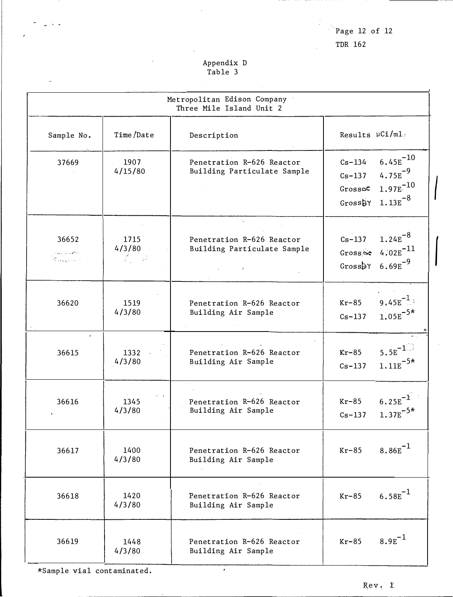Page  $12$  of  $12$ 

TDR 162

# Appendix D<br>Table 3

| Metropolitan Edison Company<br>Three Mile Island Unit 2 |                                               |                                                                               |                                                |                                                                                      |  |
|---------------------------------------------------------|-----------------------------------------------|-------------------------------------------------------------------------------|------------------------------------------------|--------------------------------------------------------------------------------------|--|
| Sample No.                                              | Time/Date                                     | Description                                                                   | Results $\mu$ Ci/ml/                           |                                                                                      |  |
| 37669                                                   | 1907<br>4/15/80                               | Penetration R-626 Reactor<br>Building Particulate Sample                      | $Cs - 134$<br>$Cs - 137$<br>Grossoc<br>GrossbY | $6.45E^{-10}$<br>$4.75E^{-9}$<br>$1.97E^{-10}$<br>$1.13E^{-8}$                       |  |
| 36652<br>بالمكورة فارتبطون<br>an<br>Kabupatèn Kalénd    | 1715<br>4/3/80<br>$\mathcal{L} = \mathcal{L}$ | $\gamma_{\rm{2}}$<br>Penetration R-626 Reactor<br>Building Particulate Sample | $Cs - 137$                                     | $1.24E^{-8}$<br>Gross $\approx 4.02E^{-11}$<br>Gross $5^{\circ}$ 6.69E <sup>-9</sup> |  |
| 36620                                                   | 1519<br>4/3/80                                | Penetration R-626 Reactor<br>Building Air Sample                              | $Kr-85$<br>$Cs - 137$                          | 9,45 $E^{-1}$<br>$1.05E^{-5*}$                                                       |  |
| $\ddot{\phantom{1}}$<br>36615                           | 1332<br>4/3/80                                | Penetration R-626 Reactor<br>Building Air Sample                              | $Kr-85$<br>$Cs - 137$                          | $5.5E^{-1}$<br>$1.11E^{-5*}$                                                         |  |
| 36616                                                   | $\sim$<br>1345<br>4/3/80                      | Penetration R-626 Reactor<br>Building Air Sample                              | $Kr-85$<br>$Cs-137$                            | $6.25E^{-1}$<br>$1.37E^{-5*}$                                                        |  |
| 36617                                                   | 1400<br>4/3/80                                | Penetration R-626 Reactor<br>Building Air Sample                              | $Kr-85$                                        | $8.86E^{-1}$                                                                         |  |
| 36618                                                   | 1420<br>4/3/80                                | Penetration R-626 Reactor<br>Building Air Sample                              | $Kr-85$                                        | $6.58E^{-1}$                                                                         |  |
| 36619                                                   | 1448<br>4/3/80                                | Penetration R-626 Reactor<br>Building Air Sample                              | $Kr-85$                                        | $8.9E^{-1}$                                                                          |  |

 $\overline{\phantom{0}}$ 

\*Sample vial contaminated.

k,

 $\omega \rightarrow \pm$